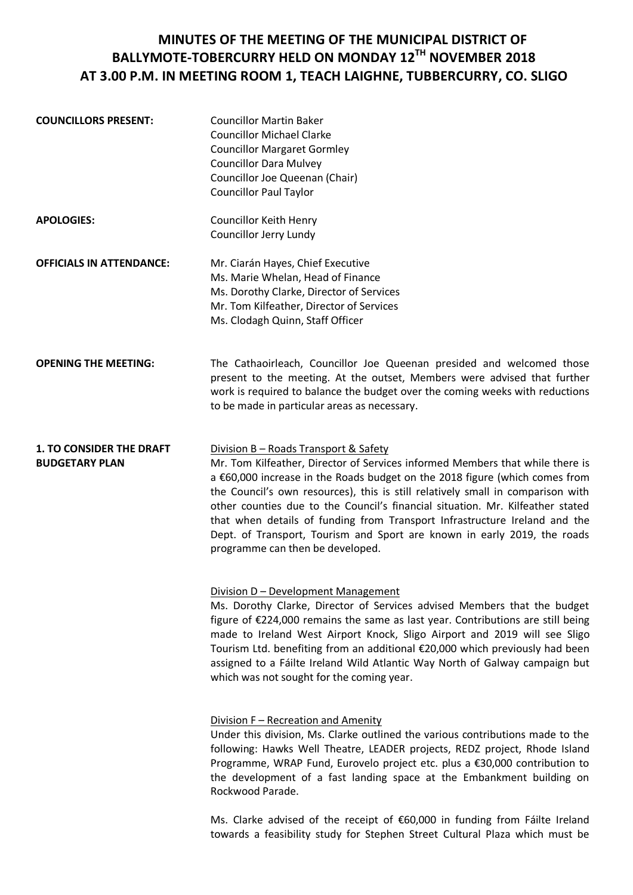## **MINUTES OF THE MEETING OF THE MUNICIPAL DISTRICT OF BALLYMOTE-TOBERCURRY HELD ON MONDAY 12TH NOVEMBER 2018 AT 3.00 P.M. IN MEETING ROOM 1, TEACH LAIGHNE, TUBBERCURRY, CO. SLIGO**

| <b>COUNCILLORS PRESENT:</b>                              | <b>Councillor Martin Baker</b><br><b>Councillor Michael Clarke</b><br><b>Councillor Margaret Gormley</b><br><b>Councillor Dara Mulvey</b><br>Councillor Joe Queenan (Chair)<br><b>Councillor Paul Taylor</b>                                                                                                                                                                                                                                                                                                                                                             |
|----------------------------------------------------------|--------------------------------------------------------------------------------------------------------------------------------------------------------------------------------------------------------------------------------------------------------------------------------------------------------------------------------------------------------------------------------------------------------------------------------------------------------------------------------------------------------------------------------------------------------------------------|
| <b>APOLOGIES:</b>                                        | <b>Councillor Keith Henry</b><br>Councillor Jerry Lundy                                                                                                                                                                                                                                                                                                                                                                                                                                                                                                                  |
| <b>OFFICIALS IN ATTENDANCE:</b>                          | Mr. Ciarán Hayes, Chief Executive<br>Ms. Marie Whelan, Head of Finance<br>Ms. Dorothy Clarke, Director of Services<br>Mr. Tom Kilfeather, Director of Services<br>Ms. Clodagh Quinn, Staff Officer                                                                                                                                                                                                                                                                                                                                                                       |
| <b>OPENING THE MEETING:</b>                              | The Cathaoirleach, Councillor Joe Queenan presided and welcomed those<br>present to the meeting. At the outset, Members were advised that further<br>work is required to balance the budget over the coming weeks with reductions<br>to be made in particular areas as necessary.                                                                                                                                                                                                                                                                                        |
| <b>1. TO CONSIDER THE DRAFT</b><br><b>BUDGETARY PLAN</b> | Division B - Roads Transport & Safety<br>Mr. Tom Kilfeather, Director of Services informed Members that while there is<br>a €60,000 increase in the Roads budget on the 2018 figure (which comes from<br>the Council's own resources), this is still relatively small in comparison with<br>other counties due to the Council's financial situation. Mr. Kilfeather stated<br>that when details of funding from Transport Infrastructure Ireland and the<br>Dept. of Transport, Tourism and Sport are known in early 2019, the roads<br>programme can then be developed. |
|                                                          | Division D - Development Management<br>Ms. Dorothy Clarke, Director of Services advised Members that the budget<br>figure of €224,000 remains the same as last year. Contributions are still being<br>made to Ireland West Airport Knock, Sligo Airport and 2019 will see Sligo<br>Tourism Ltd. benefiting from an additional €20,000 which previously had been<br>assigned to a Fáilte Ireland Wild Atlantic Way North of Galway campaign but<br>which was not sought for the coming year.                                                                              |
|                                                          | Division F - Recreation and Amenity<br>Under this division, Ms. Clarke outlined the various contributions made to the<br>following: Hawks Well Theatre, LEADER projects, REDZ project, Rhode Island<br>Programme, WRAP Fund, Eurovelo project etc. plus a €30,000 contribution to<br>the development of a fast landing space at the Embankment building on<br>Rockwood Parade.                                                                                                                                                                                           |
|                                                          |                                                                                                                                                                                                                                                                                                                                                                                                                                                                                                                                                                          |

Ms. Clarke advised of the receipt of €60,000 in funding from Fáilte Ireland towards a feasibility study for Stephen Street Cultural Plaza which must be